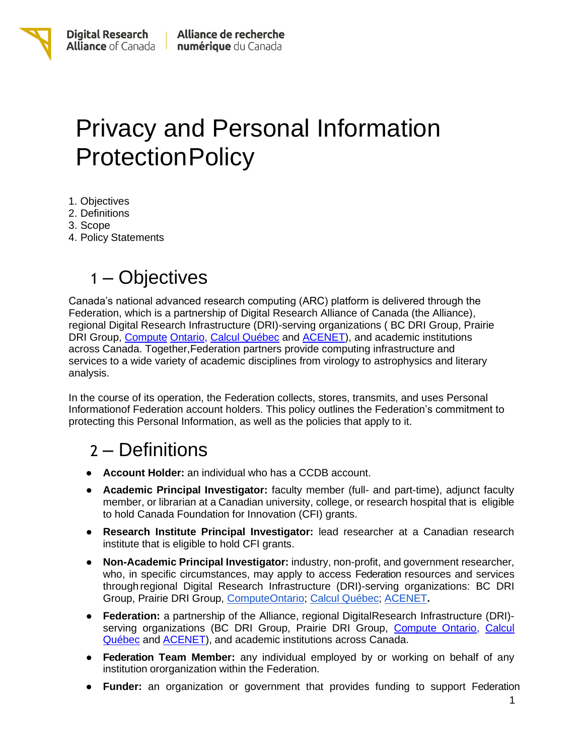

# Privacy and Personal Information **ProtectionPolicy**

- 1. Objectives
- 2. Definitions
- 3. Scope
- 4. Policy Statements

## 1 – Objectives

Canada's national advanced research computing (ARC) platform is delivered through the Federation, which is a partnership of Digital Research Alliance of Canada (the Alliance), regional Digital Research Infrastructure (DRI)-serving organizations ( BC DRI Group, Prairie DRI Group, [Compute](https://computeontario.ca/) [Ontario,](https://computeontario.ca/) [Calcul Québec](https://www.calculquebec.ca/en/) and [ACENET\)](https://www.ace-net.ca/), and academic institutions across Canada. Together,Federation partners provide computing infrastructure and services to a wide variety of academic disciplines from virology to astrophysics and literary analysis.

In the course of its operation, the Federation collects, stores, transmits, and uses Personal Informationof Federation account holders. This policy outlines the Federation's commitment to protecting this Personal Information, as well as the policies that apply to it.

### 2 – Definitions

- **Account Holder:** an individual who has a CCDB account.
- **Academic Principal Investigator:** faculty member (full- and part-time), adjunct faculty member, or librarian at a Canadian university, college, or research hospital that is eligible to hold Canada Foundation for Innovation (CFI) grants.
- **Research Institute Principal Investigator:** lead researcher at a Canadian research institute that is eligible to hold CFI grants.
- **Non-Academic Principal Investigator:** industry, non-profit, and government researcher, who, in specific circumstances, may apply to access Federation resources and services throughregional Digital Research Infrastructure (DRI)-serving organizations: BC DRI Group, Prairie DRI Group, [ComputeOntario;](https://computeontario.ca/) Calcul [Québec;](https://www.calculquebec.ca/) [ACENET](https://www.ace-net.ca/)**.**
- **Federation:** a partnership of the Alliance, regional DigitalResearch Infrastructure (DRI)- serving organizations (BC DRI Group, Prairie DRI Group, [Compute Ontario,](https://computeontario.ca/) [Calcul](https://www.calculquebec.ca/en/) [Québec](https://www.calculquebec.ca/en/) and [ACENET\)](https://www.ace-net.ca/), and academic institutions across Canada.
- **Federation Team Member:** any individual employed by or working on behalf of any institution ororganization within the Federation.
- **Funder:** an organization or government that provides funding to support Federation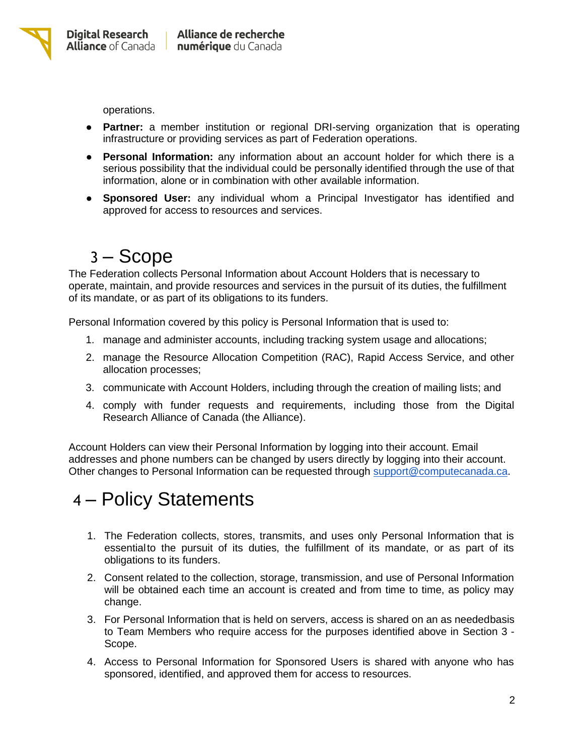

operations.

- **Partner:** a member institution or regional DRI-serving organization that is operating infrastructure or providing services as part of Federation operations.
- **Personal Information:** any information about an account holder for which there is a serious possibility that the individual could be personally identified through the use of that information, alone or in combination with other available information.
- **Sponsored User:** any individual whom a Principal Investigator has identified and approved for access to resources and services.

#### 3 – Scope

The Federation collects Personal Information about Account Holders that is necessary to operate, maintain, and provide resources and services in the pursuit of its duties, the fulfillment of its mandate, or as part of its obligations to its funders.

Personal Information covered by this policy is Personal Information that is used to:

- 1. manage and administer accounts, including tracking system usage and allocations;
- 2. manage the Resource Allocation Competition (RAC), Rapid Access Service, and other allocation processes;
- 3. communicate with Account Holders, including through the creation of mailing lists; and
- 4. comply with funder requests and requirements, including those from the Digital Research Alliance of Canada (the Alliance).

Account Holders can view their Personal Information by logging into their account. Email addresses and phone numbers can be changed by users directly by logging into their account. Other changes to Personal Information can be requested through [support@computecanada.ca.](mailto:support@computecanada.ca)

#### 4 – Policy Statements

- 1. The Federation collects, stores, transmits, and uses only Personal Information that is essentialto the pursuit of its duties, the fulfillment of its mandate, or as part of its obligations to its funders.
- 2. Consent related to the collection, storage, transmission, and use of Personal Information will be obtained each time an account is created and from time to time, as policy may change.
- 3. For Personal Information that is held on servers, access is shared on an as neededbasis to Team Members who require access for the purposes identified above in Section 3 - Scope.
- 4. Access to Personal Information for Sponsored Users is shared with anyone who has sponsored, identified, and approved them for access to resources.